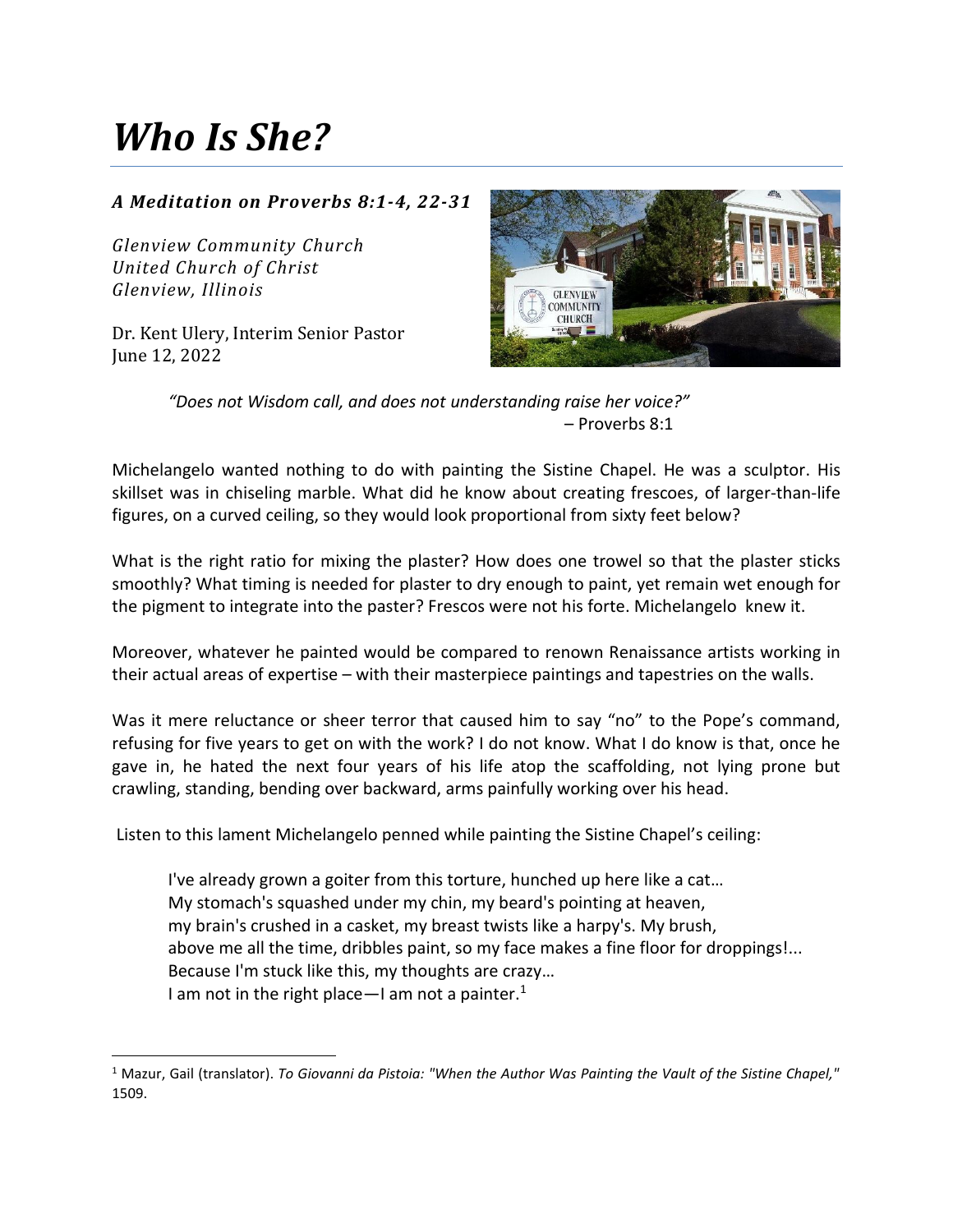## *Who Is She?*

## *A Meditation on Proverbs 8:1-4, 22-31*

*Glenview Community Church United Church of Christ Glenview, Illinois*

Dr. Kent Ulery, Interim Senior Pastor June 12, 2022



*"Does not Wisdom call, and does not understanding raise her voice?"* – Proverbs 8:1

Michelangelo wanted nothing to do with painting the Sistine Chapel. He was a sculptor. His skillset was in chiseling marble. What did he know about creating frescoes, of larger-than-life figures, on a curved ceiling, so they would look proportional from sixty feet below?

What is the right ratio for mixing the plaster? How does one trowel so that the plaster sticks smoothly? What timing is needed for plaster to dry enough to paint, yet remain wet enough for the pigment to integrate into the paster? Frescos were not his forte. Michelangelo knew it.

Moreover, whatever he painted would be compared to renown Renaissance artists working in their actual areas of expertise – with their masterpiece paintings and tapestries on the walls.

Was it mere reluctance or sheer terror that caused him to say "no" to the Pope's command, refusing for five years to get on with the work? I do not know. What I do know is that, once he gave in, he hated the next four years of his life atop the scaffolding, not lying prone but crawling, standing, bending over backward, arms painfully working over his head.

Listen to this lament Michelangelo penned while painting the Sistine Chapel's ceiling:

I've already grown a goiter from this torture, hunched up here like a cat… My stomach's squashed under my chin, my beard's pointing at heaven, my brain's crushed in a casket, my breast twists like a harpy's. My brush, above me all the time, dribbles paint, so my face makes a fine floor for droppings!... Because I'm stuck like this, my thoughts are crazy… I am not in the right place—I am not a painter.<sup>1</sup>

<sup>1</sup> Mazur, Gail (translator). *To Giovanni da Pistoia: "When the Author Was Painting the Vault of the Sistine Chapel,"* 1509.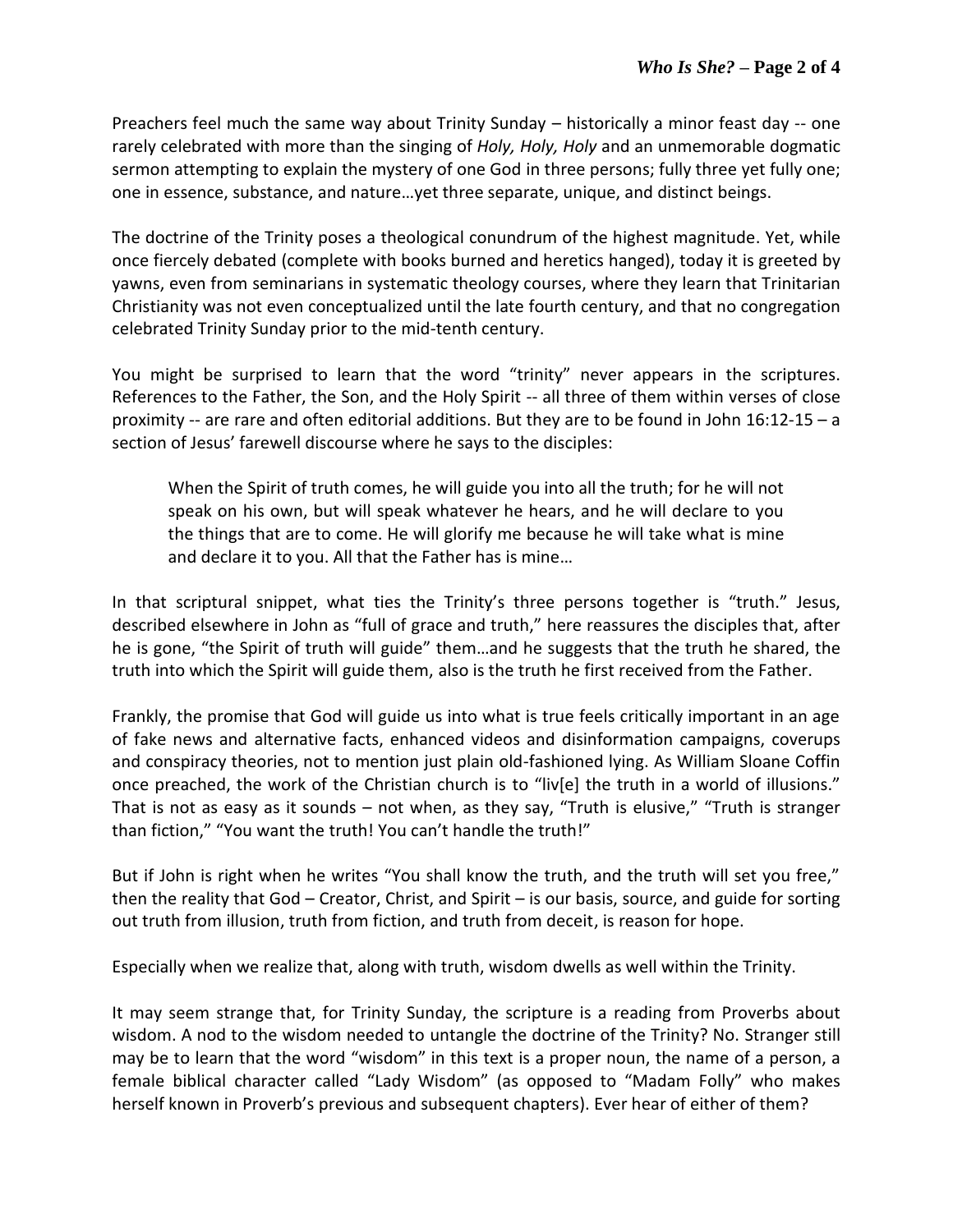Preachers feel much the same way about Trinity Sunday – historically a minor feast day -- one rarely celebrated with more than the singing of *Holy, Holy, Holy* and an unmemorable dogmatic sermon attempting to explain the mystery of one God in three persons; fully three yet fully one; one in essence, substance, and nature…yet three separate, unique, and distinct beings.

The doctrine of the Trinity poses a theological conundrum of the highest magnitude. Yet, while once fiercely debated (complete with books burned and heretics hanged), today it is greeted by yawns, even from seminarians in systematic theology courses, where they learn that Trinitarian Christianity was not even conceptualized until the late fourth century, and that no congregation celebrated Trinity Sunday prior to the mid-tenth century.

You might be surprised to learn that the word "trinity" never appears in the scriptures. References to the Father, the Son, and the Holy Spirit -- all three of them within verses of close proximity -- are rare and often editorial additions. But they are to be found in John 16:12-15 – a section of Jesus' farewell discourse where he says to the disciples:

When the Spirit of truth comes, he will guide you into all the truth; for he will not speak on his own, but will speak whatever he hears, and he will declare to you the things that are to come. He will glorify me because he will take what is mine and declare it to you. All that the Father has is mine…

In that scriptural snippet, what ties the Trinity's three persons together is "truth." Jesus, described elsewhere in John as "full of grace and truth," here reassures the disciples that, after he is gone, "the Spirit of truth will guide" them…and he suggests that the truth he shared, the truth into which the Spirit will guide them, also is the truth he first received from the Father.

Frankly, the promise that God will guide us into what is true feels critically important in an age of fake news and alternative facts, enhanced videos and disinformation campaigns, coverups and conspiracy theories, not to mention just plain old-fashioned lying. As William Sloane Coffin once preached, the work of the Christian church is to "liv[e] the truth in a world of illusions." That is not as easy as it sounds – not when, as they say, "Truth is elusive," "Truth is stranger than fiction," "You want the truth! You can't handle the truth!"

But if John is right when he writes "You shall know the truth, and the truth will set you free," then the reality that God – Creator, Christ, and Spirit – is our basis, source, and guide for sorting out truth from illusion, truth from fiction, and truth from deceit, is reason for hope.

Especially when we realize that, along with truth, wisdom dwells as well within the Trinity.

It may seem strange that, for Trinity Sunday, the scripture is a reading from Proverbs about wisdom. A nod to the wisdom needed to untangle the doctrine of the Trinity? No. Stranger still may be to learn that the word "wisdom" in this text is a proper noun, the name of a person, a female biblical character called "Lady Wisdom" (as opposed to "Madam Folly" who makes herself known in Proverb's previous and subsequent chapters). Ever hear of either of them?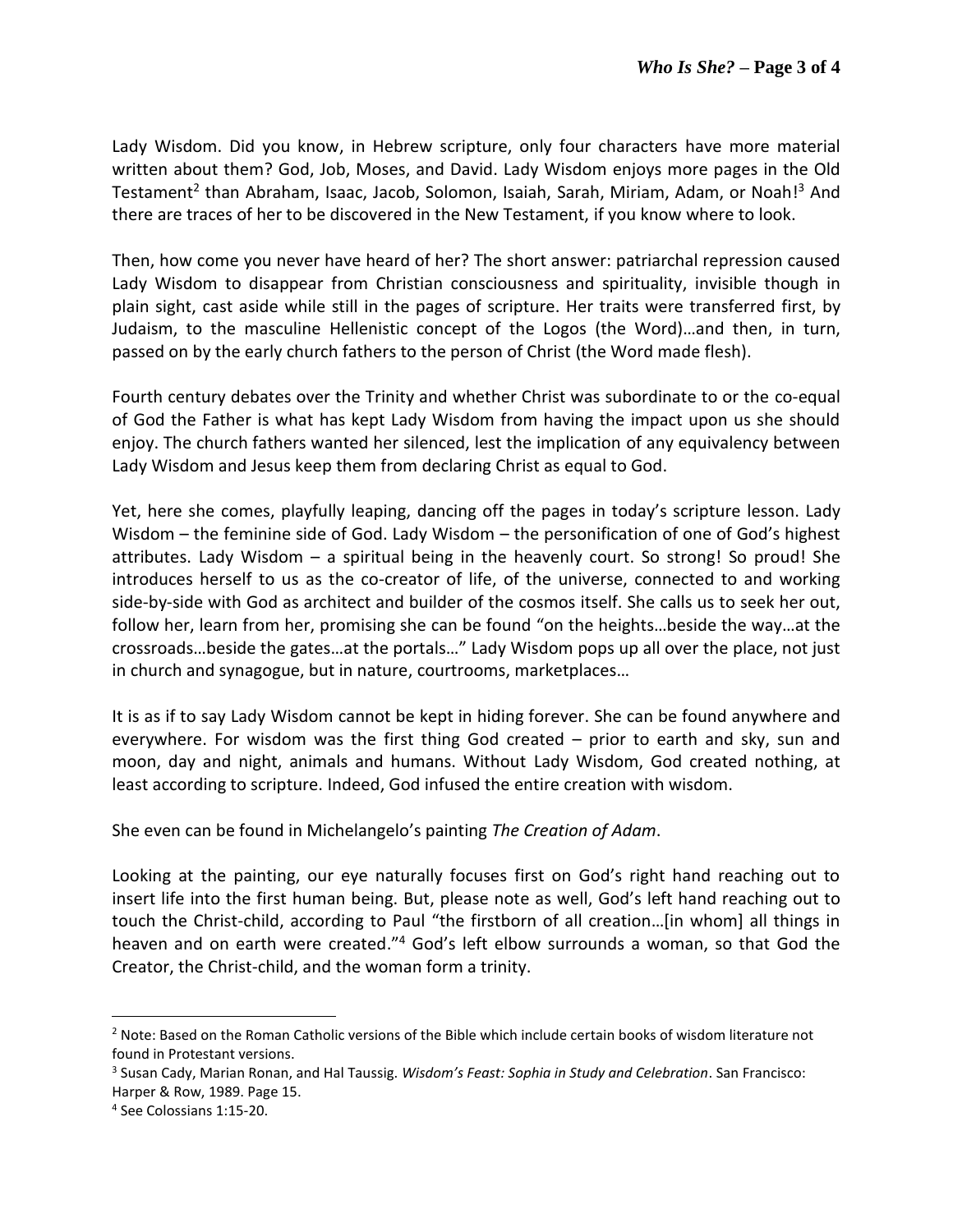Lady Wisdom. Did you know, in Hebrew scripture, only four characters have more material written about them? God, Job, Moses, and David. Lady Wisdom enjoys more pages in the Old Testament<sup>2</sup> than Abraham, Isaac, Jacob, Solomon, Isaiah, Sarah, Miriam, Adam, or Noah!<sup>3</sup> And there are traces of her to be discovered in the New Testament, if you know where to look.

Then, how come you never have heard of her? The short answer: patriarchal repression caused Lady Wisdom to disappear from Christian consciousness and spirituality, invisible though in plain sight, cast aside while still in the pages of scripture. Her traits were transferred first, by Judaism, to the masculine Hellenistic concept of the Logos (the Word)…and then, in turn, passed on by the early church fathers to the person of Christ (the Word made flesh).

Fourth century debates over the Trinity and whether Christ was subordinate to or the co-equal of God the Father is what has kept Lady Wisdom from having the impact upon us she should enjoy. The church fathers wanted her silenced, lest the implication of any equivalency between Lady Wisdom and Jesus keep them from declaring Christ as equal to God.

Yet, here she comes, playfully leaping, dancing off the pages in today's scripture lesson. Lady Wisdom – the feminine side of God. Lady Wisdom – the personification of one of God's highest attributes. Lady Wisdom – a spiritual being in the heavenly court. So strong! So proud! She introduces herself to us as the co-creator of life, of the universe, connected to and working side-by-side with God as architect and builder of the cosmos itself. She calls us to seek her out, follow her, learn from her, promising she can be found "on the heights…beside the way…at the crossroads…beside the gates…at the portals…" Lady Wisdom pops up all over the place, not just in church and synagogue, but in nature, courtrooms, marketplaces…

It is as if to say Lady Wisdom cannot be kept in hiding forever. She can be found anywhere and everywhere. For wisdom was the first thing God created – prior to earth and sky, sun and moon, day and night, animals and humans. Without Lady Wisdom, God created nothing, at least according to scripture. Indeed, God infused the entire creation with wisdom.

She even can be found in Michelangelo's painting *The Creation of Adam*.

Looking at the painting, our eye naturally focuses first on God's right hand reaching out to insert life into the first human being. But, please note as well, God's left hand reaching out to touch the Christ-child, according to Paul "the firstborn of all creation…[in whom] all things in heaven and on earth were created."<sup>4</sup> God's left elbow surrounds a woman, so that God the Creator, the Christ-child, and the woman form a trinity.

<sup>&</sup>lt;sup>2</sup> Note: Based on the Roman Catholic versions of the Bible which include certain books of wisdom literature not found in Protestant versions.

<sup>3</sup> Susan Cady, Marian Ronan, and Hal Taussig. *Wisdom's Feast: Sophia in Study and Celebration*. San Francisco: Harper & Row, 1989. Page 15.

<sup>4</sup> See Colossians 1:15-20.